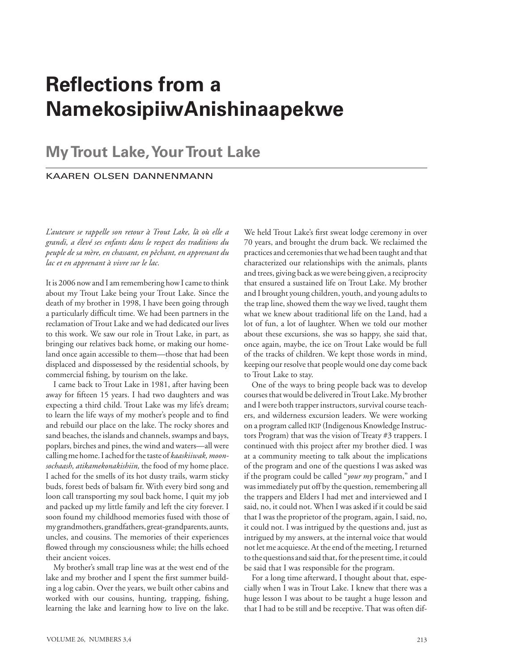## **Reflections from a NamekosipiiwAnishinaapekwe**

## **My Trout Lake, Your Trout Lake**

## kaaren olsen dannenmann

*L'auteure se rappelle son retour à Trout Lake, là où elle a grandi, a élevé ses enfants dans le respect des traditions du peuple de sa mère, en chassant, en pêchant, en apprenant du lac et en apprenant à vivre sur le lac.*

It is 2006 now and I am remembering how I came to think about my Trout Lake being your Trout Lake. Since the death of my brother in 1998, I have been going through a particularly difficult time. We had been partners in the reclamation of Trout Lake and we had dedicated our lives to this work. We saw our role in Trout Lake, in part, as bringing our relatives back home, or making our homeland once again accessible to them—those that had been displaced and dispossessed by the residential schools, by commercial fishing, by tourism on the lake.

I came back to Trout Lake in 1981, after having been away for fifteen 15 years. I had two daughters and was expecting a third child. Trout Lake was my life's dream; to learn the life ways of my mother's people and to find and rebuild our place on the lake. The rocky shores and sand beaches, the islands and channels, swamps and bays, poplars, birches and pines, the wind and waters—all were calling me home. I ached for the taste of *kaaskiiwak, moonsochaash, atikamekonakishiin,* the food of my home place. I ached for the smells of its hot dusty trails, warm sticky buds, forest beds of balsam fir. With every bird song and loon call transporting my soul back home, I quit my job and packed up my little family and left the city forever. I soon found my childhood memories fused with those of my grandmothers, grandfathers, great-grandparents, aunts, uncles, and cousins. The memories of their experiences flowed through my consciousness while; the hills echoed their ancient voices.

My brother's small trap line was at the west end of the lake and my brother and I spent the first summer building a log cabin. Over the years, we built other cabins and worked with our cousins, hunting, trapping, fishing, learning the lake and learning how to live on the lake.

We held Trout Lake's first sweat lodge ceremony in over 70 years, and brought the drum back. We reclaimed the practices and ceremonies that we had been taught and that characterized our relationships with the animals, plants and trees, giving back as we were being given, a reciprocity that ensured a sustained life on Trout Lake. My brother and I brought young children, youth, and young adults to the trap line, showed them the way we lived, taught them what we knew about traditional life on the Land, had a lot of fun, a lot of laughter. When we told our mother about these excursions, she was so happy, she said that, once again, maybe, the ice on Trout Lake would be full of the tracks of children. We kept those words in mind, keeping our resolve that people would one day come back to Trout Lake to stay.

One of the ways to bring people back was to develop courses that would be delivered in Trout Lake. My brother and I were both trapper instructors, survival course teachers, and wilderness excursion leaders. We were working on a program called ikip (Indigenous Knowledge Instructors Program) that was the vision of Treaty #3 trappers. I continued with this project after my brother died. I was at a community meeting to talk about the implications of the program and one of the questions I was asked was if the program could be called "*your my* program," and I was immediately put off by the question, remembering all the trappers and Elders I had met and interviewed and I said, no, it could not. When I was asked if it could be said that I was the proprietor of the program, again, I said, no, it could not. I was intrigued by the questions and, just as intrigued by my answers, at the internal voice that would not let me acquiesce. At the end of the meeting, I returned to the questions and said that, for the present time, it could be said that I was responsible for the program.

For a long time afterward, I thought about that, especially when I was in Trout Lake. I knew that there was a huge lesson I was about to be taught a huge lesson and that I had to be still and be receptive. That was often dif